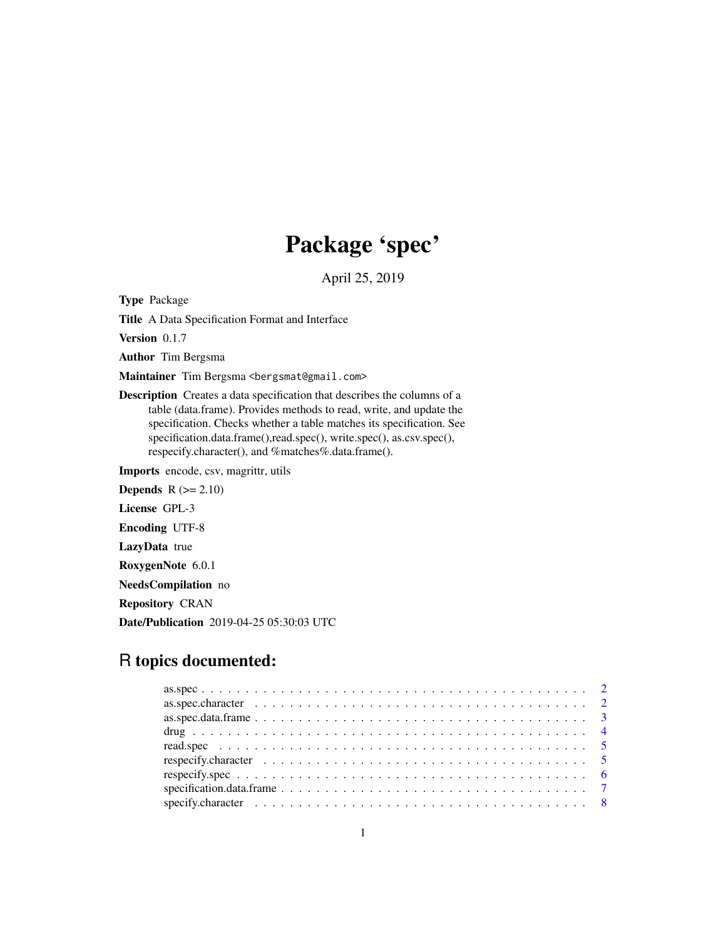# Package 'spec'

April 25, 2019

<span id="page-0-0"></span>Type Package

Title A Data Specification Format and Interface

Version 0.1.7

Author Tim Bergsma

Maintainer Tim Bergsma <br/>bergsmat@gmail.com>

Description Creates a data specification that describes the columns of a table (data.frame). Provides methods to read, write, and update the specification. Checks whether a table matches its specification. See specification.data.frame(),read.spec(), write.spec(), as.csv.spec(), respecify.character(), and %matches%.data.frame().

Imports encode, csv, magrittr, utils

**Depends**  $R$  ( $>= 2.10$ )

License GPL-3

Encoding UTF-8

LazyData true

RoxygenNote 6.0.1

NeedsCompilation no

Repository CRAN

Date/Publication 2019-04-25 05:30:03 UTC

# R topics documented:

| respecify.character $\ldots \ldots \ldots \ldots \ldots \ldots \ldots \ldots \ldots \ldots \ldots \ldots$ |  |
|-----------------------------------------------------------------------------------------------------------|--|
|                                                                                                           |  |
|                                                                                                           |  |
|                                                                                                           |  |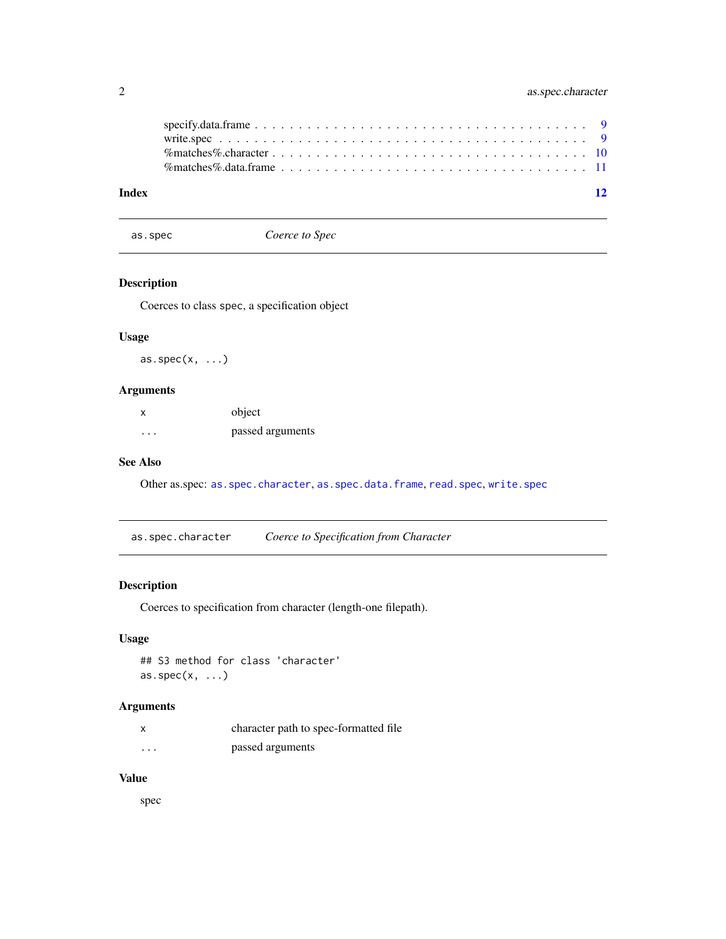<span id="page-1-0"></span>

| Index |                                                                                                                            |  |  |  |  |  |  |  |  |  |  |  |  |  |  |  |  |  | 12 |
|-------|----------------------------------------------------------------------------------------------------------------------------|--|--|--|--|--|--|--|--|--|--|--|--|--|--|--|--|--|----|
|       | % matches % data frame $\ldots \ldots \ldots \ldots \ldots \ldots \ldots \ldots \ldots \ldots \ldots \ldots \ldots 11$     |  |  |  |  |  |  |  |  |  |  |  |  |  |  |  |  |  |    |
|       |                                                                                                                            |  |  |  |  |  |  |  |  |  |  |  |  |  |  |  |  |  |    |
|       |                                                                                                                            |  |  |  |  |  |  |  |  |  |  |  |  |  |  |  |  |  |    |
|       | $specify.data-frame \dots \dots \dots \dots \dots \dots \dots \dots \dots \dots \dots \dots \dots \dots \dots \dots \dots$ |  |  |  |  |  |  |  |  |  |  |  |  |  |  |  |  |  |    |

<span id="page-1-2"></span>as.spec *Coerce to Spec*

# Description

Coerces to class spec, a specification object

#### Usage

as.spec $(x, \ldots)$ 

#### Arguments

| x        | object           |
|----------|------------------|
| $\cdots$ | passed arguments |

### See Also

Other as.spec: as. spec.character, as. spec.data.frame, [read.spec](#page-4-1), [write.spec](#page-8-1)

<span id="page-1-1"></span>as.spec.character *Coerce to Specification from Character*

#### Description

Coerces to specification from character (length-one filepath).

#### Usage

## S3 method for class 'character' as.spec $(x, \ldots)$ 

#### Arguments

|         | character path to spec-formatted file |
|---------|---------------------------------------|
| $\cdot$ | passed arguments                      |

#### Value

spec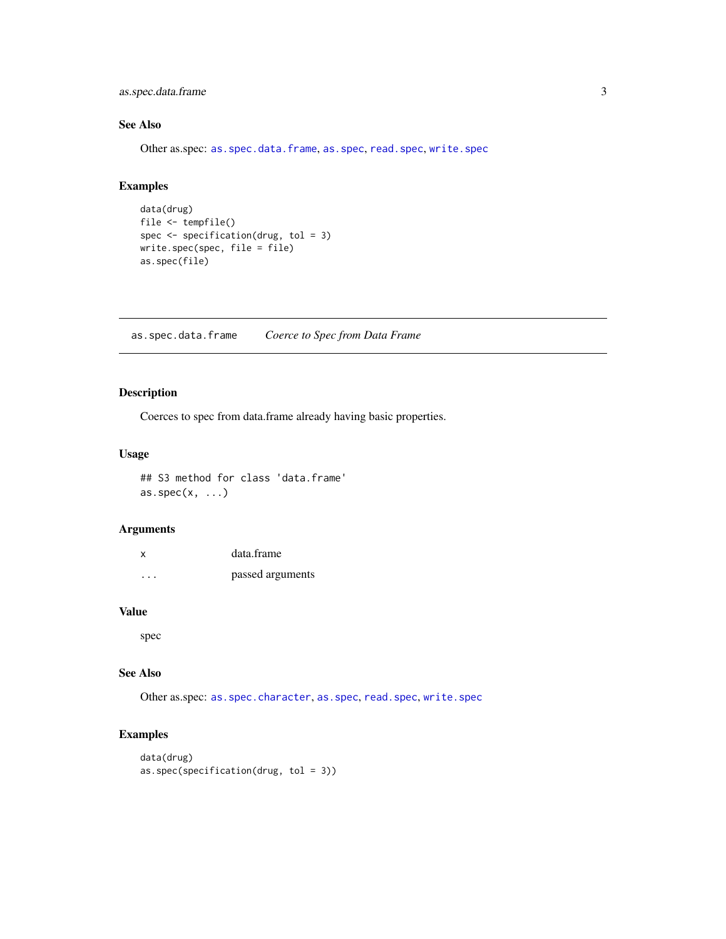<span id="page-2-0"></span>as.spec.data.frame 3

## See Also

Other as.spec: [as.spec.data.frame](#page-2-1), [as.spec](#page-1-2), [read.spec](#page-4-1), [write.spec](#page-8-1)

#### Examples

```
data(drug)
file <- tempfile()
spec <- specification(drug, tol = 3)
write.spec(spec, file = file)
as.spec(file)
```
<span id="page-2-1"></span>as.spec.data.frame *Coerce to Spec from Data Frame*

#### Description

Coerces to spec from data.frame already having basic properties.

#### Usage

## S3 method for class 'data.frame'  $as.\text{spec}(x, \ldots)$ 

#### Arguments

| X | data.frame       |
|---|------------------|
| . | passed arguments |

#### Value

spec

#### See Also

Other as.spec: [as.spec.character](#page-1-1), [as.spec](#page-1-2), [read.spec](#page-4-1), [write.spec](#page-8-1)

#### Examples

```
data(drug)
as.spec(specification(drug, tol = 3))
```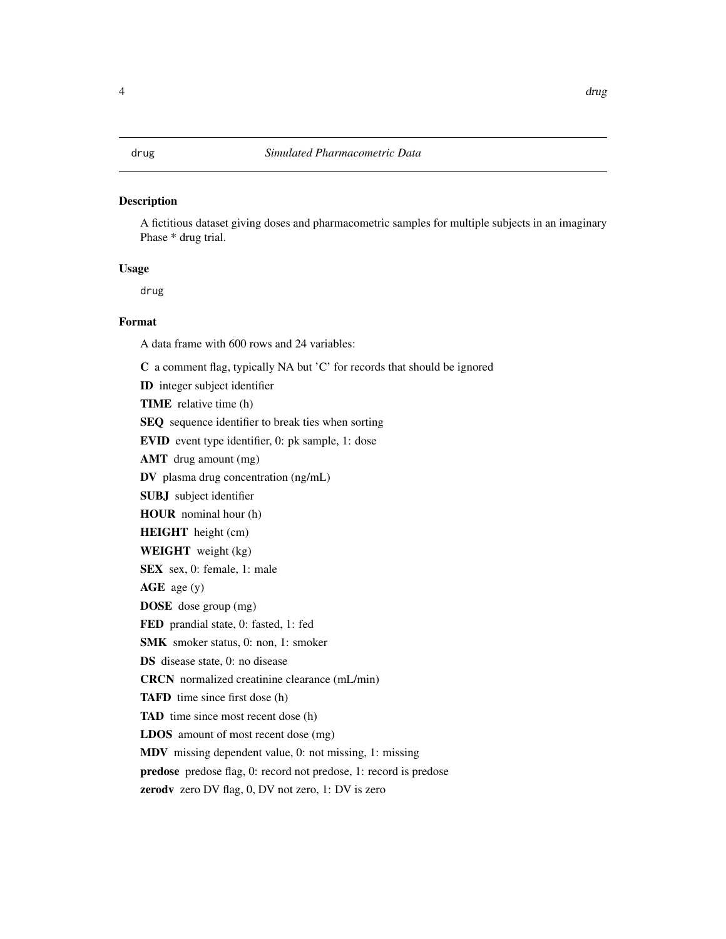#### <span id="page-3-0"></span>Description

A fictitious dataset giving doses and pharmacometric samples for multiple subjects in an imaginary Phase \* drug trial.

#### Usage

drug

#### Format

A data frame with 600 rows and 24 variables:

ID integer subject identifier TIME relative time (h) SEQ sequence identifier to break ties when sorting EVID event type identifier, 0: pk sample, 1: dose

C a comment flag, typically NA but 'C' for records that should be ignored

AMT drug amount (mg)

DV plasma drug concentration (ng/mL)

SUBJ subject identifier

HOUR nominal hour (h)

HEIGHT height (cm)

WEIGHT weight (kg)

SEX sex, 0: female, 1: male

AGE age (y)

DOSE dose group (mg)

FED prandial state, 0: fasted, 1: fed

SMK smoker status, 0: non, 1: smoker

DS disease state, 0: no disease

CRCN normalized creatinine clearance (mL/min)

TAFD time since first dose (h)

TAD time since most recent dose (h)

LDOS amount of most recent dose (mg)

MDV missing dependent value, 0: not missing, 1: missing

predose predose flag, 0: record not predose, 1: record is predose

zerodv zero DV flag, 0, DV not zero, 1: DV is zero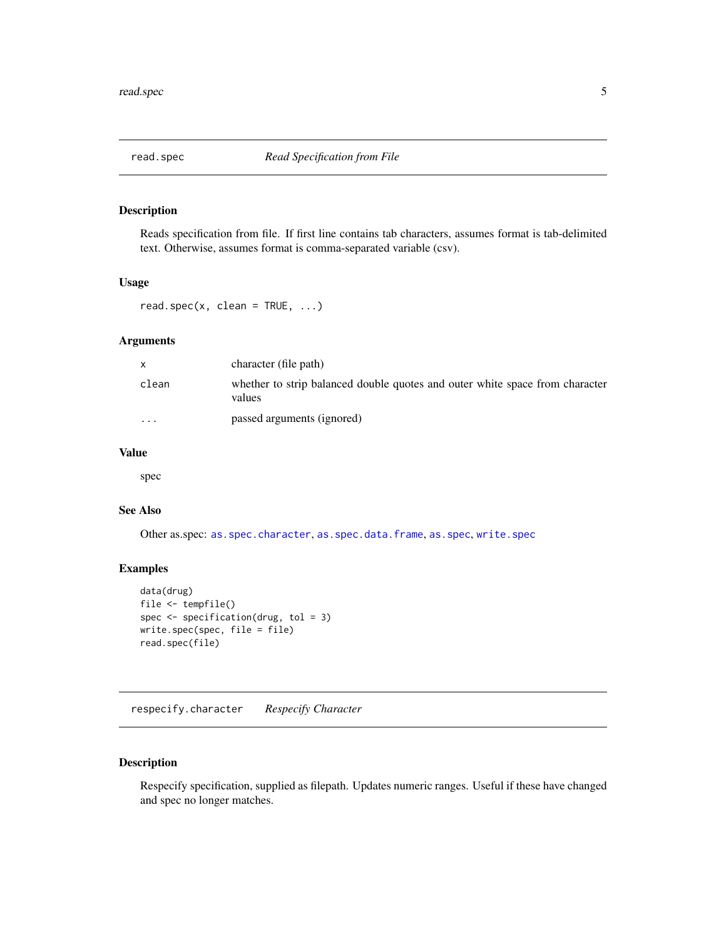<span id="page-4-1"></span><span id="page-4-0"></span>

#### Description

Reads specification from file. If first line contains tab characters, assumes format is tab-delimited text. Otherwise, assumes format is comma-separated variable (csv).

#### Usage

 $read.\,spec(x, \, clean = TRUE, \dots)$ 

#### Arguments

| $\mathsf{x}$            | character (file path)                                                                  |
|-------------------------|----------------------------------------------------------------------------------------|
| clean                   | whether to strip balanced double quotes and outer white space from character<br>values |
| $\cdot$ $\cdot$ $\cdot$ | passed arguments (ignored)                                                             |

#### Value

spec

#### See Also

Other as.spec: [as.spec.character](#page-1-1), [as.spec.data.frame](#page-2-1), [as.spec](#page-1-2), [write.spec](#page-8-1)

#### Examples

```
data(drug)
file <- tempfile()
spec <- specification(drug, tol = 3)
write.spec(spec, file = file)
read.spec(file)
```
<span id="page-4-2"></span>respecify.character *Respecify Character*

#### Description

Respecify specification, supplied as filepath. Updates numeric ranges. Useful if these have changed and spec no longer matches.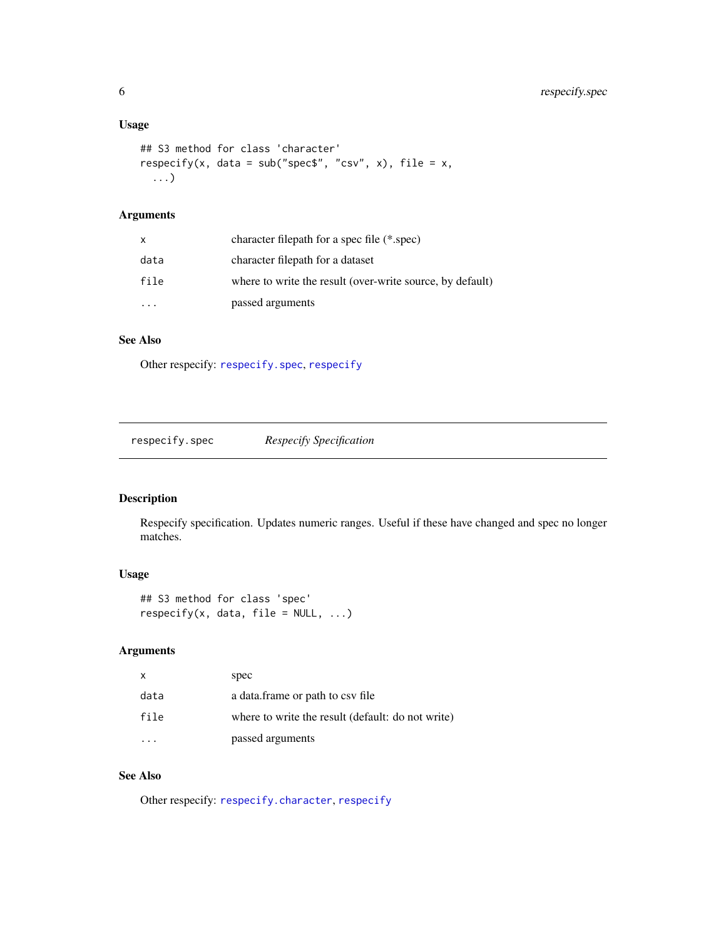# <span id="page-5-0"></span>Usage

```
## S3 method for class 'character'
respecify(x, data = sub("spec$", "csv", x), file = x,
  ...)
```
# Arguments

| x    | character filepath for a spec file (*.spec)               |
|------|-----------------------------------------------------------|
| data | character filepath for a dataset                          |
| file | where to write the result (over-write source, by default) |
|      | passed arguments                                          |

# See Also

Other respecify: [respecify.spec](#page-5-1), [respecify](#page-0-0)

<span id="page-5-1"></span>respecify.spec *Respecify Specification*

#### Description

Respecify specification. Updates numeric ranges. Useful if these have changed and spec no longer matches.

# Usage

```
## S3 method for class 'spec'
respectify(x, data, file = NULL, ...)
```
#### Arguments

| X    | spec                                              |
|------|---------------------------------------------------|
| data | a data. frame or path to csy file                 |
| file | where to write the result (default: do not write) |
|      | passed arguments                                  |

# See Also

Other respecify: [respecify.character](#page-4-2), [respecify](#page-0-0)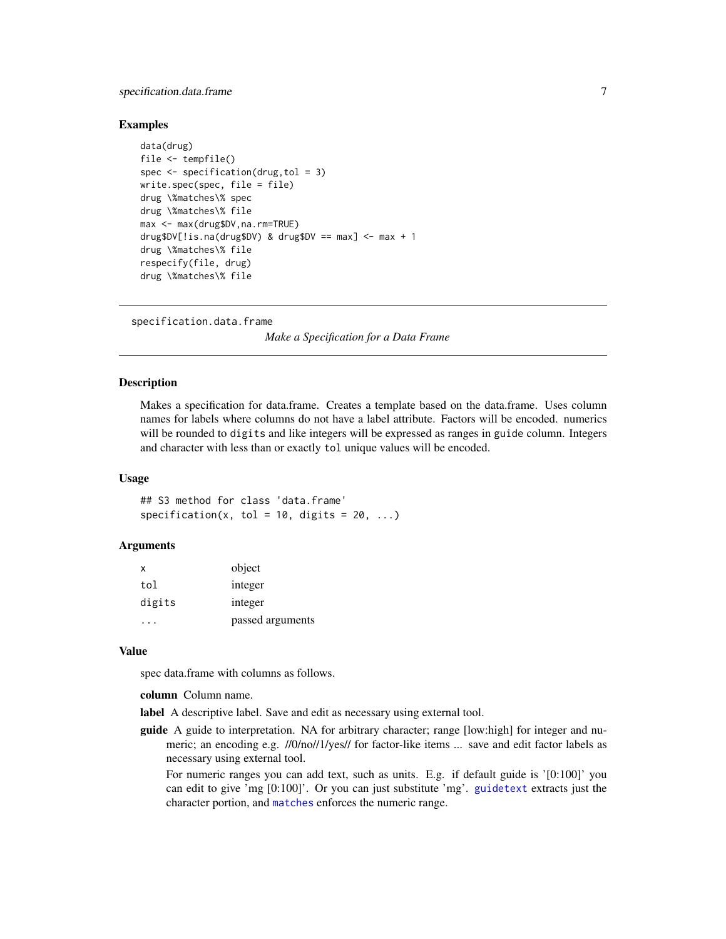#### <span id="page-6-0"></span>specification.data.frame 7

#### Examples

```
data(drug)
file <- tempfile()
spec \leq specification(drug, tol = 3)
write.spec(spec, file = file)
drug \%matches\% spec
drug \%matches\% file
max <- max(drug$DV,na.rm=TRUE)
drug$DV[!is.na(drug$DV) & drug$DV == max] <- max + 1
drug \%matches\% file
respecify(file, drug)
drug \%matches\% file
```
specification.data.frame

*Make a Specification for a Data Frame*

#### **Description**

Makes a specification for data.frame. Creates a template based on the data.frame. Uses column names for labels where columns do not have a label attribute. Factors will be encoded. numerics will be rounded to digits and like integers will be expressed as ranges in guide column. Integers and character with less than or exactly tol unique values will be encoded.

#### Usage

## S3 method for class 'data.frame' specification(x, tol = 10, digits = 20, ...)

#### Arguments

| X      | object           |
|--------|------------------|
| tol    | integer          |
| digits | integer          |
|        | passed arguments |

#### Value

spec data.frame with columns as follows.

column Column name.

label A descriptive label. Save and edit as necessary using external tool.

guide A guide to interpretation. NA for arbitrary character; range [low:high] for integer and numeric; an encoding e.g. //0/no//1/yes// for factor-like items ... save and edit factor labels as necessary using external tool.

For numeric ranges you can add text, such as units. E.g. if default guide is '[0:100]' you can edit to give 'mg [0:100]'. Or you can just substitute 'mg'. [guidetext](#page-0-0) extracts just the character portion, and [matches](#page-10-1) enforces the numeric range.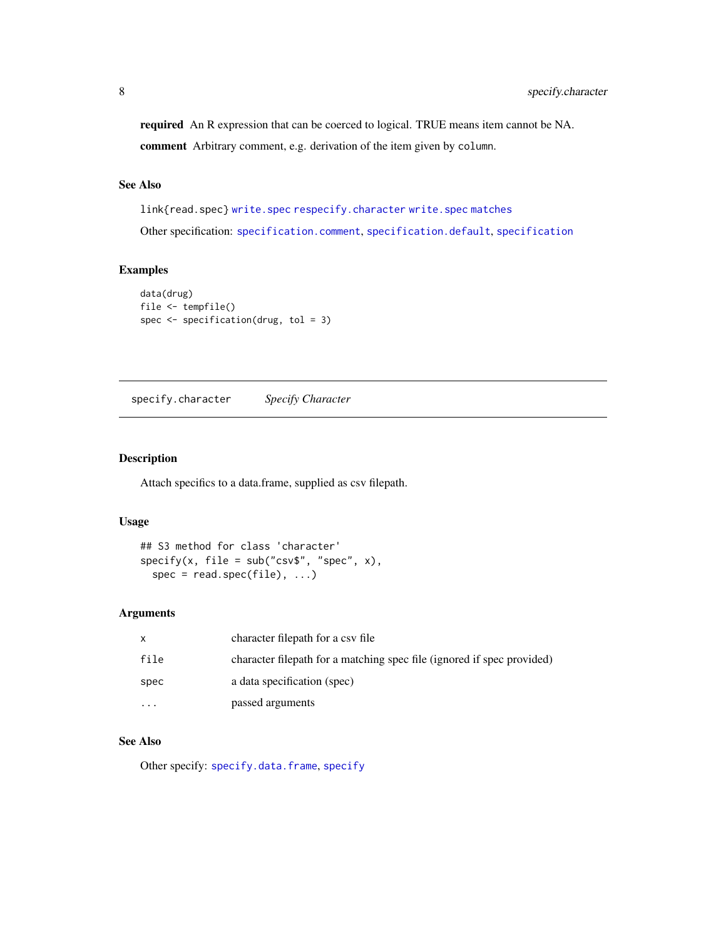<span id="page-7-0"></span>required An R expression that can be coerced to logical. TRUE means item cannot be NA. comment Arbitrary comment, e.g. derivation of the item given by column.

#### See Also

link{read.spec} [write.spec](#page-8-1) [respecify.character](#page-4-2) [write.spec](#page-8-1) [matches](#page-10-1) Other specification: [specification.comment](#page-0-0), [specification.default](#page-0-0), [specification](#page-0-0)

#### Examples

```
data(drug)
file <- tempfile()
spec <- specification(drug, tol = 3)
```
<span id="page-7-1"></span>specify.character *Specify Character*

#### Description

Attach specifics to a data.frame, supplied as csv filepath.

#### Usage

```
## S3 method for class 'character'
specify(x, file = sub("csv$", "spec", x),spec = read.\,spec(file), \ldots)
```
#### Arguments

|          | character filepath for a csy file                                      |
|----------|------------------------------------------------------------------------|
| file     | character filepath for a matching spec file (ignored if spec provided) |
| spec     | a data specification (spec)                                            |
| $\cdots$ | passed arguments                                                       |

#### See Also

Other specify: [specify.data.frame](#page-8-2), [specify](#page-0-0)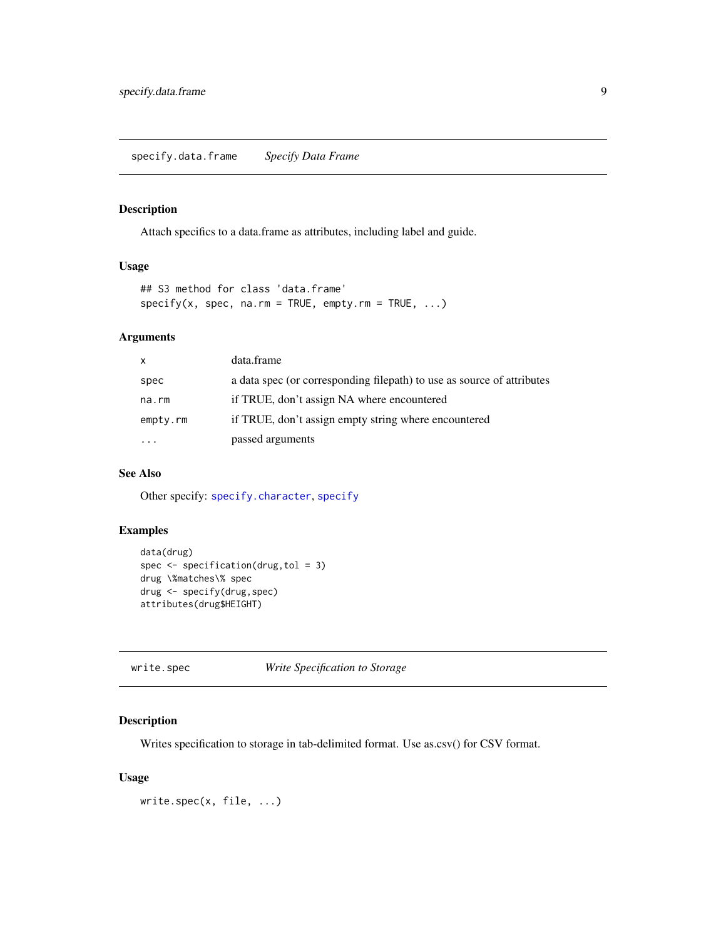# <span id="page-8-2"></span><span id="page-8-0"></span>Description

Attach specifics to a data.frame as attributes, including label and guide.

#### Usage

```
## S3 method for class 'data.frame'
specify(x, spec, na.rm = TRUE, empty.rm = TRUE, ...)
```
#### Arguments

| X        | data.frame                                                             |
|----------|------------------------------------------------------------------------|
| spec     | a data spec (or corresponding filepath) to use as source of attributes |
| na.rm    | if TRUE, don't assign NA where encountered                             |
| empty.rm | if TRUE, don't assign empty string where encountered                   |
|          | passed arguments                                                       |

#### See Also

Other specify: [specify.character](#page-7-1), [specify](#page-0-0)

#### Examples

```
data(drug)
spec <- specification(drug,tol = 3)
drug \%matches\% spec
drug <- specify(drug,spec)
attributes(drug$HEIGHT)
```
#### <span id="page-8-1"></span>write.spec *Write Specification to Storage*

#### Description

Writes specification to storage in tab-delimited format. Use as.csv() for CSV format.

#### Usage

```
write.spec(x, file, ...)
```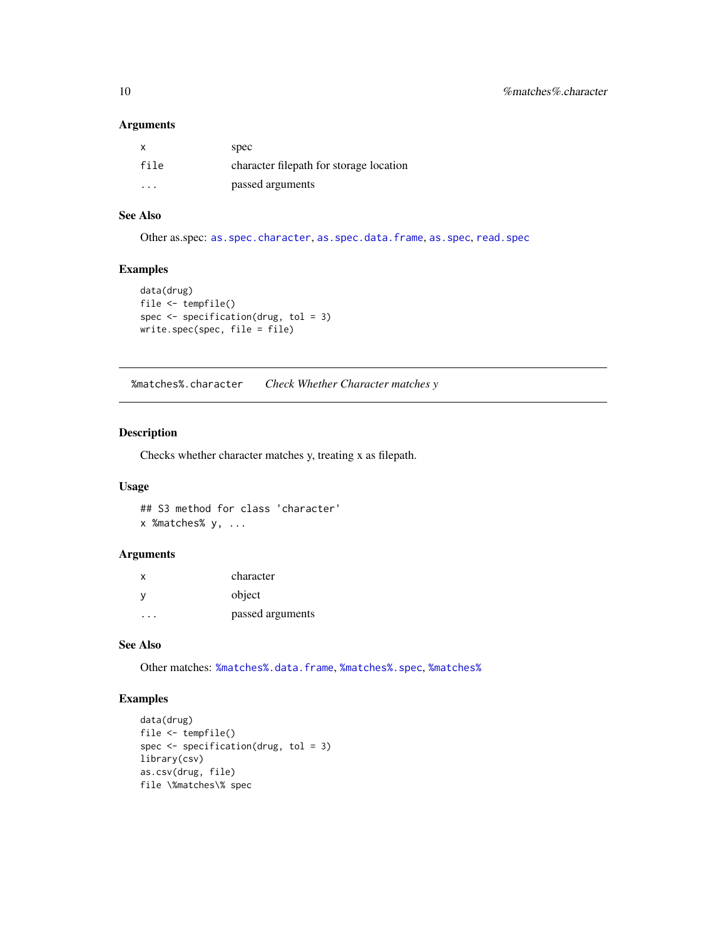#### <span id="page-9-0"></span>Arguments

| $\mathsf{x}$ | spec                                    |
|--------------|-----------------------------------------|
| file         | character filepath for storage location |
| .            | passed arguments                        |

#### See Also

Other as.spec: [as.spec.character](#page-1-1), [as.spec.data.frame](#page-2-1), [as.spec](#page-1-2), [read.spec](#page-4-1)

#### Examples

```
data(drug)
file <- tempfile()
spec <- specification(drug, tol = 3)
write.spec(spec, file = file)
```
<span id="page-9-1"></span>%matches%.character *Check Whether Character matches y*

#### Description

Checks whether character matches y, treating x as filepath.

#### Usage

## S3 method for class 'character' x %matches% y, ...

#### Arguments

| x | character        |
|---|------------------|
| ν | object           |
|   | passed arguments |

#### See Also

Other matches: [%matches%.data.frame](#page-10-2), [%matches%.spec](#page-0-0), [%matches%](#page-0-0)

### Examples

```
data(drug)
file <- tempfile()
spec <- specification(drug, tol = 3)
library(csv)
as.csv(drug, file)
file \%matches\% spec
```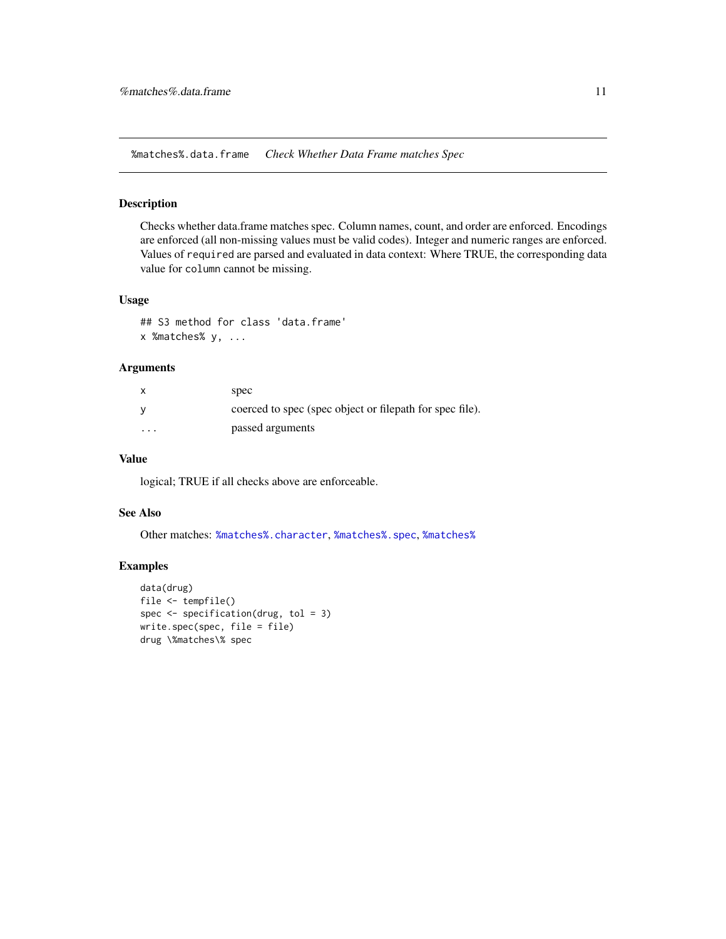<span id="page-10-2"></span><span id="page-10-0"></span>%matches%.data.frame *Check Whether Data Frame matches Spec*

#### <span id="page-10-1"></span>Description

Checks whether data.frame matches spec. Column names, count, and order are enforced. Encodings are enforced (all non-missing values must be valid codes). Integer and numeric ranges are enforced. Values of required are parsed and evaluated in data context: Where TRUE, the corresponding data value for column cannot be missing.

#### Usage

## S3 method for class 'data.frame' x %matches% y, ...

#### Arguments

|          | spec                                                     |
|----------|----------------------------------------------------------|
|          | coerced to spec (spec object or filepath for spec file). |
| $\cdots$ | passed arguments                                         |

#### Value

logical; TRUE if all checks above are enforceable.

#### See Also

Other matches: [%matches%.character](#page-9-1), [%matches%.spec](#page-0-0), [%matches%](#page-0-0)

#### Examples

```
data(drug)
file <- tempfile()
spec <- specification(drug, tol = 3)
write.spec(spec, file = file)
drug \%matches\% spec
```